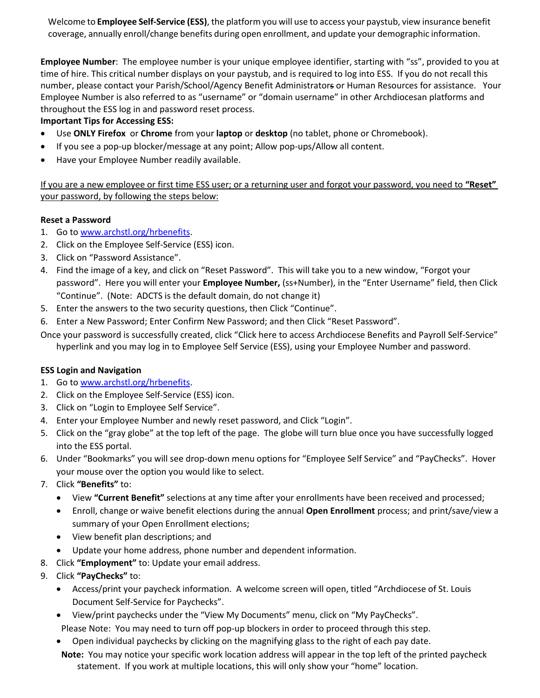Welcome to **Employee Self-Service (ESS)**, the platform you will use to access your paystub, view insurance benefit coverage, annually enroll/change benefits during open enrollment, and update your demographic information.

**Employee Number**: The employee number is your unique employee identifier, starting with "ss", provided to you at time of hire. This critical number displays on your paystub, and is required to log into ESS. If you do not recall this number, please contact your Parish/School/Agency Benefit Administrators or Human Resources for assistance. Your Employee Number is also referred to as "username" or "domain username" in other Archdiocesan platforms and throughout the ESS log in and password reset process.

## **Important Tips for Accessing ESS:**

- Use **ONLY Firefox** or **Chrome** from your **laptop** or **desktop** (no tablet, phone or Chromebook).
- If you see a pop-up blocker/message at any point; Allow pop-ups/Allow all content.
- Have your Employee Number readily available.

If you are a new employee or first time ESS user; or a returning user and forgot your password, you need to **"Reset"** your password, by following the steps below:

## **Reset a Password**

- 1. Go to [www.archstl.org/hrbenefits.](http://www.archstl.org/hrbenefits)
- 2. Click on the Employee Self-Service (ESS) icon.
- 3. Click on "Password Assistance".
- 4. Find the image of a key, and click on "Reset Password". This will take you to a new window, "Forgot your password". Here you will enter your **Employee Number,** (ss+Number), in the "Enter Username" field, then Click "Continue". (Note: ADCTS is the default domain, do not change it)
- 5. Enter the answers to the two security questions, then Click "Continue".
- 6. Enter a New Password; Enter Confirm New Password; and then Click "Reset Password".
- Once your password is successfully created, click "Click here to access Archdiocese Benefits and Payroll Self-Service" hyperlink and you may log in to Employee Self Service (ESS), using your Employee Number and password.

## **ESS Login and Navigation**

- 1. Go to [www.archstl.org/hrbenefits.](http://www.archstl.org/hrbenefits)
- 2. Click on the Employee Self-Service (ESS) icon.
- 3. Click on "Login to Employee Self Service".
- 4. Enter your Employee Number and newly reset password, and Click "Login".
- 5. Click on the "gray globe" at the top left of the page. The globe will turn blue once you have successfully logged into the ESS portal.
- 6. Under "Bookmarks" you will see drop-down menu options for "Employee Self Service" and "PayChecks". Hover your mouse over the option you would like to select.
- 7. Click **"Benefits"** to:
	- View **"Current Benefit"** selections at any time after your enrollments have been received and processed;
	- Enroll, change or waive benefit elections during the annual **Open Enrollment** process; and print/save/view a summary of your Open Enrollment elections;
	- View benefit plan descriptions; and
	- Update your home address, phone number and dependent information.
- 8. Click **"Employment"** to: Update your email address.
- 9. Click **"PayChecks"** to:
	- Access/print your paycheck information. A welcome screen will open, titled "Archdiocese of St. Louis Document Self-Service for Paychecks".
	- View/print paychecks under the "View My Documents" menu, click on "My PayChecks".

Please Note: You may need to turn off pop-up blockers in order to proceed through this step.

- Open individual paychecks by clicking on the magnifying glass to the right of each pay date.
- **Note:** You may notice your specific work location address will appear in the top left of the printed paycheck statement. If you work at multiple locations, this will only show your "home" location.